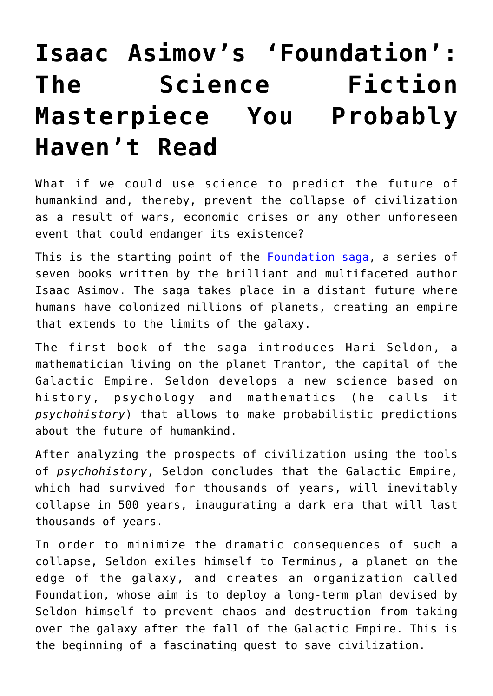## **[Isaac Asimov's 'Foundation':](https://intellectualtakeout.org/2018/07/isaac-asimovs-foundation-the-science-fiction-masterpiece-you-probably-havent-read/) [The Science Fiction](https://intellectualtakeout.org/2018/07/isaac-asimovs-foundation-the-science-fiction-masterpiece-you-probably-havent-read/) [Masterpiece You Probably](https://intellectualtakeout.org/2018/07/isaac-asimovs-foundation-the-science-fiction-masterpiece-you-probably-havent-read/) [Haven't Read](https://intellectualtakeout.org/2018/07/isaac-asimovs-foundation-the-science-fiction-masterpiece-you-probably-havent-read/)**

What if we could use science to predict the future of humankind and, thereby, prevent the collapse of civilization as a result of wars, economic crises or any other unforeseen event that could endanger its existence?

This is the starting point of the [Foundation saga,](https://www.goodreads.com/series/59386-foundation) a series of seven books written by the brilliant and multifaceted author Isaac Asimov. The saga takes place in a distant future where humans have colonized millions of planets, creating an empire that extends to the limits of the galaxy.

The first book of the saga introduces Hari Seldon, a mathematician living on the planet Trantor, the capital of the Galactic Empire. Seldon develops a new science based on history, psychology and mathematics (he calls it *psychohistory*) that allows to make probabilistic predictions about the future of humankind.

After analyzing the prospects of civilization using the tools of *psychohistory*, Seldon concludes that the Galactic Empire, which had survived for thousands of years, will inevitably collapse in 500 years, inaugurating a dark era that will last thousands of years.

In order to minimize the dramatic consequences of such a collapse, Seldon exiles himself to Terminus, a planet on the edge of the galaxy, and creates an organization called Foundation, whose aim is to deploy a long-term plan devised by Seldon himself to prevent chaos and destruction from taking over the galaxy after the fall of the Galactic Empire. This is the beginning of a fascinating quest to save civilization.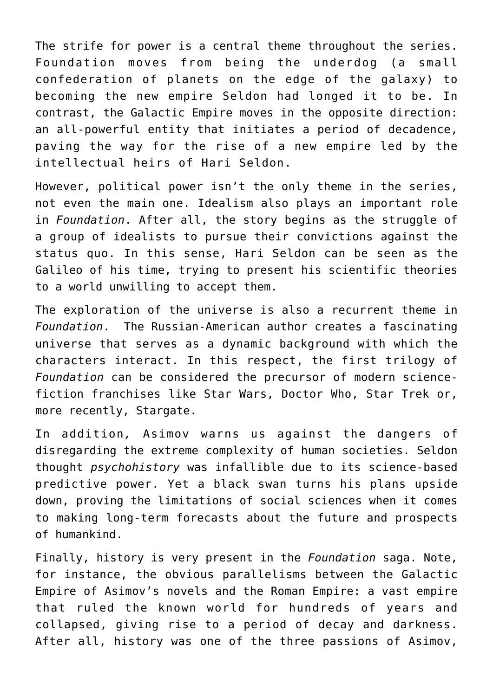The strife for power is a central theme throughout the series. Foundation moves from being the underdog (a small confederation of planets on the edge of the galaxy) to becoming the new empire Seldon had longed it to be. In contrast, the Galactic Empire moves in the opposite direction: an all-powerful entity that initiates a period of decadence, paving the way for the rise of a new empire led by the intellectual heirs of Hari Seldon.

However, political power isn't the only theme in the series, not even the main one. Idealism also plays an important role in *Foundation*. After all, the story begins as the struggle of a group of idealists to pursue their convictions against the status quo. In this sense, Hari Seldon can be seen as the Galileo of his time, trying to present his scientific theories to a world unwilling to accept them.

The exploration of the universe is also a recurrent theme in *Foundation*. The Russian-American author creates a fascinating universe that serves as a dynamic background with which the characters interact. In this respect, the first trilogy of *Foundation* can be considered the precursor of modern sciencefiction franchises like Star Wars, Doctor Who, Star Trek or, more recently, Stargate.

In addition*,* Asimov warns us against the dangers of disregarding the extreme complexity of human societies. Seldon thought *psychohistory* was infallible due to its science-based predictive power. Yet a black swan turns his plans upside down, proving the limitations of social sciences when it comes to making long-term forecasts about the future and prospects of humankind.

Finally, history is very present in the *Foundation* saga. Note, for instance, the obvious parallelisms between the Galactic Empire of Asimov's novels and the Roman Empire: a vast empire that ruled the known world for hundreds of years and collapsed, giving rise to a period of decay and darkness. After all, history was one of the three passions of Asimov,